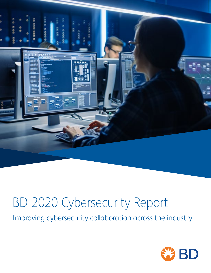

# BD 2020 Cybersecurity Report

Improving cybersecurity collaboration across the industry

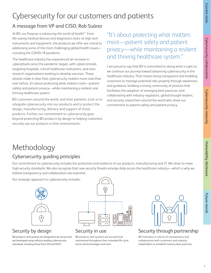# Cybersecurity for our customers and patients

#### A message from VP and CISO, Rob Suárez

At BD, our Purpose is *advancing the world of health™*. From life-saving medical devices and diagnostics tests, to high-tech instruments and equipment, the products we offer are critical to addressing some of the most challenging global health issues including the COVID-19 pandemic.

The healthcare industry has experienced an increase in cyberattacks since the pandemic began, with cybercriminals targeting hospitals, critical healthcare institutions, and even research organizations working to develop vaccines. These attacks make it clear that cybersecurity matters more now than ever before. It's about protecting what matters most—patient safety and patient privacy—while maintaining a resilient and thriving healthcare system.

BD customers around the world, and their patients, trust us to integrate cybersecurity into our products and to protect the design, manufacturing, delivery and support of those products. Further, our commitment to cybersecurity goes beyond protecting BD products by design to helping customers securely use our products in their environments.

#### "It's about protecting what matters most—patient safety and patient privacy—while maintaining a resilient and thriving healthcare system."

I am proud to say that BD is committed to doing what is right as we continue our journey toward advancing cybersecurity in the healthcare industry. That means being transparent and enabling customers to manage potential risks properly through awareness and guidance, building a strong community of practice that facilitates the adoption of emerging best practices, and collaborating with industry regulators, global thought leaders, and security researchers around the world who share our commitment to patient safety and patient privacy.

# Methodology

#### Cybersecurity guiding principles

Our commitment to cybersecurity includes the protection and resilience of our products, manufacturing and IT. We strive to meet high security standards. We also recognize that new security threats emerge daily across the healthcare industry—which is why we believe transparency and collaboration are essential.

Our strategic approach to cybersecurity includes:



#### Security by design

BD products and systems are designed to be secure and are developed using industry-leading cybersecurity standards, including those from ISO and NIST.

![](_page_1_Figure_14.jpeg)

#### Security in use

BD products and systems are secured and maintained throughout their intended life cycle, across all technologies and sites.

![](_page_1_Picture_17.jpeg)

#### Security through partnership

BD maintains a culture of transparency and collaboration with customers and industry stakeholders to establish industry best practices.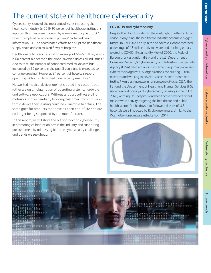# The current state of healthcare cybersecurity

Cybersecurity is one of the most critical issues impacting the healthcare industry. In 2019, 95 percent of healthcare institutions reported that they were targeted by some form of cyberattack,<sup>1</sup> from attempts at compromising patients' protected health information (PHI) to coordinated efforts to disrupt the healthcare supply chain and clinical workflows at hospitals.

Healthcare data breaches cost an average of \$6.45 million, which is 60 percent higher than the global average across all industries.<sup>2</sup> Add to that, the number of connected medical devices has increased by 62 percent in the past 5 years and is expected to continue growing.<sup>1</sup> However, 84 percent of hospitals report operating without a dedicated cybersecurity executive.3

Networked medical devices are not created in a vacuum, but rather are an amalgamation of operating systems, hardware and software applications. Without a robust software bill of materials and vulnerability tracking, customers may not know that a device they're using could be vulnerable to attack. The same goes for products that have hit their end-of-life and are no longer being supported by the manufacturer.

In this report, we will share the BD approach to cybersecurity in promoting collaboration across the industry and supporting our customers by addressing both the cybersecurity challenges and trends we see ahead.

#### **COVID-19 and cybersecurity**

Despite the global pandemic, the onslaught of attacks did not cease. If anything, the healthcare industry became a bigger target. In April 2020, early in the pandemic, Google recorded an average of 18 million daily malware and phishing emails related to COVID-19 scams.<sup>4</sup> By May of 2020, the Federal Bureau of Investigation (FBI) and the U.S. Department of Homeland Security's Cybersecurity and Infrastructure Security Agency (CISA) released a joint statement regarding increased cyberattacks against U.S. organizations conducting COVID-19 research and working to develop vaccines, treatments and testing.5 Amid an increase in ransomware attacks, CISA, the FBI and the Department of Health and Human Services (HSS) issued an additional joint cybersecurity advisory in the fall of 2020, warning U.S. hospitals and healthcare providers about ransomware activity targeting the healthcare and public health sector.<sup>6</sup> In the days that followed, dozens of U.S. hospitals were impacted by Ryuk ransomware, similar to the WannaCry ransomware attacks from 2017.<sup>7</sup>

![](_page_2_Picture_7.jpeg)

![](_page_2_Picture_8.jpeg)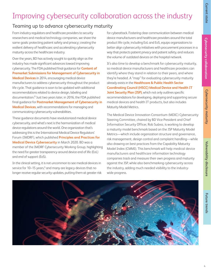# **Cybersecurity collaboration**

**Future trends** 

## Improving cybersecurity collaboration across the industry

#### Teaming up to advance cybersecurity maturity

From industry regulators and healthcare providers to security researchers and medical technology companies, we share the same goals: protecting patient safety and privacy; creating the resilient delivery of healthcare; and accelerating cybersecurity maturity across the healthcare industry.

Over the years, BD has actively sought to quickly align as the industry has made significant advances toward improving cybersecurity. The FDA published final guidance for **[Content of](https://www.fda.gov/regulatory-information/search-fda-guidance-documents/content-premarket-submissions-management-cybersecurity-medical-devices-0)  [Premarket Submissions for Management of Cybersecurity in](https://www.fda.gov/regulatory-information/search-fda-guidance-documents/content-premarket-submissions-management-cybersecurity-medical-devices-0)  [Medical Devices](https://www.fda.gov/regulatory-information/search-fda-guidance-documents/content-premarket-submissions-management-cybersecurity-medical-devices-0)** in 2014, encouraging medical device manufacturers to address cybersecurity throughout the product life cycle. That guidance is soon to be updated with additional recommendations related to device design, labeling and documentation.<sup>8</sup> Just two years later, in 2016, the FDA published final guidance for **[Postmarket Management of Cybersecurity in](https://www.fda.gov/regulatory-information/search-fda-guidance-documents/postmarket-management-cybersecurity-medical-devices)  [Medical Devices](https://www.fda.gov/regulatory-information/search-fda-guidance-documents/postmarket-management-cybersecurity-medical-devices)**, with recommendations for managing and communicating cybersecurity vulnerabilities.

These guidance documents have revolutionized medical device cybersecurity, and what's next is the harmonization of medical device regulations around the world. One organization that's addressing this is the International Medical Device Regulators' Forum (IMDRF), which published **[Principles and Practices for](http://www.imdrf.org/docs/imdrf/final/technical/imdrf-tech-200318-pp-mdc-n60.pdf)  [Medical Device Cybersecurity](http://www.imdrf.org/docs/imdrf/final/technical/imdrf-tech-200318-pp-mdc-n60.pdf)** in March 2020. BD was a member of the IMDRF Cybersecurity Working Group, highlighting the need for greater transparency around device end of life (EoL) and end of support (EoS).

In the clinical setting, it is not uncommon to see medical devices in service for 10–15 years,<sup>9</sup> and many are legacy devices that no longer receive regular security updates, putting them at greater risk for cyberattack. Fostering clear communication between medical device manufacturers and healthcare providers around the total product life cycle, including EoL and EoS, equips organizations to better align cybersecurity initiatives with procurement processes in a way that protects patient privacy and patient safety, and reduces the volume of outdated devices on the hospital network.

It's also time to develop a benchmark for cybersecurity maturity, so medical device manufacturers and healthcare providers can identify where they stand in relation to their peers, and where they're headed. A "map" for evaluating cybersecurity maturity already exists in the **[Healthcare & Public Health Sector](https://healthsectorcouncil.org/the-joint-security-plan/)  [Coordinating Council \(HSCC\) Medical Device and Health IT](https://healthsectorcouncil.org/the-joint-security-plan/)  [Joint Security Plan \(JSP\)](https://healthsectorcouncil.org/the-joint-security-plan/)**, which not only outlines specific recommendations for developing, deploying and supporting secure medical devices and health IT products, but also includes Maturity Model Metrics.

The Medical Device Innovation Consortium (MDIC) Cybersecurity Steering Committee, chaired by BD Vice President and Chief Information Security Officer, Rob Suárez, is working to develop a maturity model benchmark based on the JSP Maturity Model Metrics—which include organization structure and governance, risk management, design control and complaint handling—while also drawing on best practices from the Capability Maturity Model Index (CMMI). This benchmark will help medical device manufacturers and healthcare information technology companies track and measure their own progress and maturity against the JSP, while also benchmarking cybersecurity across the industry, adding much needed visibility to the industrywide progress.

![](_page_3_Picture_13.jpeg)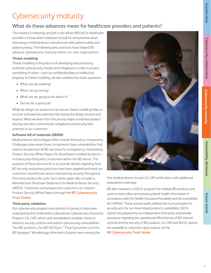# **Future trends Current state Cybersecurity maturityCybersecurity collaboration Cybersecurity collaboration Vulneraboration Vulnerability disclosure**

# Cybersecurity maturity

#### What do these advances mean for healthcare providers and patients?

The industry is maturing, and yet it can still be difficult for healthcare providers to know which initiatives to look for and prioritize when entrusting a medical device manufacturer with patient safety and patient privacy. The following best practices have helped BD advance cybersecurity maturity within our own organization:

#### **Threat modeling**

Threat modeling is the practice of identifying and prioritizing potential cybersecurity threats and mitigations in order to protect something of value—such as confidential data or intellectual property. In threat modeling, we ask ourselves four basic questions:

- What are we building?
- What can go wrong?
- What are we going to do about it?
- Did we do a good job?

While we design our products to be secure, threat modeling helps us uncover and examine potential risks during the design process and beyond. What we learn from this process helps us improve product security and also communicate mitigations and security best practices to our customers.

#### **Software bill of materials (SBOM)**

Medical device technologies often include third-party components. Challenges arise when those components have vulnerabilities that need to be patched. At BD, we strive for transparency, maintaining Product Security White Papers for all software-enabled products including any third-party component within the BD device. The purpose of these documents is to provide details regarding how BD security and privacy practices have been applied and what our customers should know about maintaining security throughout the entire product life cycle. Each white paper also includes a Manufacturer Disclosure Statement for Medical Device Security (MDS2). Customers and prospective customers can request Product Security White Papers through the **[BD Cybersecurity](http://bd.com/cybersecurity)  [Trust Center.](http://bd.com/cybersecurity)**

#### **Third-party validation**

Our cybersecurity programs and policies for products have been evaluated by the Underwriters Laboratories Cybersecurity Assurance Program (UL CAP), which uses standardized, testable criteria to enhance security controls and reduce cybersecurity vulnerabilities. Two BD products, the BD FACSLyric™ Flow Cytometer and the BD Synapsys™ Microbiology Informatics Solution were among the

![](_page_4_Picture_19.jpeg)

first medical devices to earn UL CAP certification, with additional evaluations underway.

BD also maintains a SOC2+ program for multiple BD products and systems that collect and process patient health information in accordance with the Health Insurance Portability and Accountability Act (HIPAA). These annual audits address the trust principles for security and, for our cloud-based products, availability. SOC2+ reports are prepared by an independent third party and provide assurance regarding the operational effectiveness of BD internal controls and the security of BD products. UL CAP and SOC2+ reports are available to customers upon request via the

**[BD Cybersecurity Trust Center](https://bd.com/cybersecurity)**.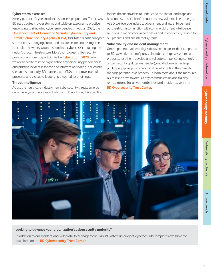#### **Cyber storm exercises**

Ninety percent of cyber incident response is preparation. That is why BD participates in cyber storms and tabletop exercises to practice responding to simulated cyber emergencies. In August 2020, th[e](https://www.cisa.gov/)

#### **[US Department of Homeland Security Cybersecurity and](https://www.cisa.gov/)  [Infrastructure Security Agency \(CISA\)](https://www.cisa.gov/)** facilitated a national cyber

storm exercise, bringing public- and private-sector entities together to simulate how they would respond to a cyber crisis impacting the nation's critical infrastructure. More than a dozen cybersecurity professionals from BD participated in **[Cyber Storm 2020](https://www.cisa.gov/cyber-storm-2020)**, which was designed to test the organization's cybersecurity preparedness and practice incident response and information sharing in a realistic scenario. Additionally, BD partners with CISA to improve internal processes and executive leadership preparedness trainings.

#### **Threat intelligence**

Across the healthcare industry, new cybersecurity threats emerge daily. Since you cannot protect what you do not know, it is essential for healthcare providers to understand the threat landscape and have access to reliable information as new vulnerabilities emerge. At BD, we leverage industry, government and law enforcement partnerships in conjunction with commercial threat intelligence solutions to monitor for vulnerabilities and threat activity related to our products and our internal systems.

#### **Vulnerability and incident management**

Once a potential vulnerability is discovered or an incident is reported to BD, we work to identify any vulnerable enterprise systems and products, test them, develop and validate compensating controls and/or security updates (as needed), and disclose our findings publicly, equipping customers with the information they need to manage potential risks properly. To learn more about the measures BD takes to drive toward 30-day communication and 60-day remediations for all vulnerabilities and incidents, visit the **[BD Cybersecurity Trust Center](https://bd.com/cybersecurity)**.

![](_page_5_Picture_9.jpeg)

#### **Looking to advance your organization's cybersecurity maturity?**

In addition to our Incident and Vulnerability Management Plan, BD offers an array of cybersecurity templates available for download on the **[BD Cybersecurity Trust Center](https://bd.com/cybersecurity)**.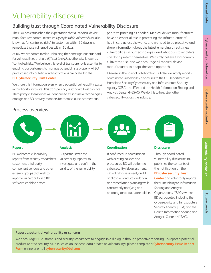**Future trends** 

# Vulnerability disclosure

#### Building trust through Coordinated Vulnerability Disclosure

The FDA has established the expectation that all medical device manufacturers communicate *easily exploitable vulnerabilities*, also known as "uncontrolled risks," to customers within 30 days and remediate those vulnerabilities within 60 days.

At BD, we are committed to upholding the same rigorous standard for vulnerabilities that are *difficult to exploit*, otherwise known as "controlled risks." We believe this level of transparency is essential to enabling our customers to manage potential risks properly. All BD product security bulletins and notifications are posted to the **[BD Cybersecurity Trust Center](https://bd.com/cybersecurity)**.

We share this information even when a potential vulnerability exists in third-party software. This transparency is standard best practice. Third-party vulnerabilities will continue to exist as new technologies emerge, and BD actively monitors for them so our customers can

prioritize patching as needed. Medical device manufacturers have an essential role in protecting the infrastructure of healthcare across the world, and we need to be proactive and share information about the latest emerging threats, new vulnerabilities in our technologies, and what our stakeholders can do to protect themselves. We firmly believe transparency cultivates trust, and we encourage all medical device manufacturers to adopt the same approach.

Likewise, in the spirit of collaboration, BD also voluntarily reports coordinated vulnerability disclosures to the US Department of Homeland Security Cybersecurity and Infrastructure Security Agency (CISA), the FDA and the Health Information Sharing and Analysis Center (H-ISAC). We do this to help strengthen cybersecurity across the industry.

#### Process overview

![](_page_6_Picture_12.jpeg)

![](_page_6_Picture_13.jpeg)

#### **Report**

BD welcomes vulnerability reports from security researchers, customers, third-party component vendors and other external groups that wish to report a vulnerability in a BD software-enabled device.

#### **Analysis**

BD partners with the vulnerability reporter to investigate and confirm the validity of the vulnerability.

![](_page_6_Figure_18.jpeg)

If confirmed, in coordination with existing policies and procedures, BD will perform a cybersecurity risk assessment, clinical risk assessment, and if applicable, conduct validation and remediation planning while concurrently notifying and reporting to various stakeholders.

![](_page_6_Picture_20.jpeg)

#### **Disclosure**

Through coordinated vulnerability disclosure, BD publishes the contents of the notification on the

#### **[BD Cybersecurity Trust](https://bd.com/cybersecurity)**

**[Center](https://bd.com/cybersecurity)** and voluntarily reports the vulnerability to Information Sharing and Analysis Organizations (ISAOs) where BD participates, including the Cybersecurity and Infrastructure Security Agency (CISA) and the Health Information Sharing and Analysis Center (H-ISAC).

#### **Report a potential vulnerability or concern**

We encourage BD customers and security researchers to engage in a dialogue through proactive reporting. To report a potential product-related security issue (such as an incident, data breach or vulnerability), please complete a **Cybers[ecurity Issue Report](https://go.bd.com/bd-product-potential-vulnerability-claim-report.html)  [Form](https://go.bd.com/bd-product-potential-vulnerability-claim-report.html)** online or email **[cybersecurity@bd.com](mailto:cybersecurity%40bd.com?subject=)**.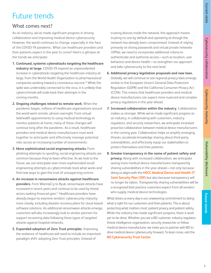# **Future trends Future trends**

# Future trends

#### What comes next?

As an industry, we've made significant progress in driving collaboration and improving medical device cybersecurity. However, the world continues to change, especially in the face of the COVID-19 pandemic. What can healthcare providers and their patients expect in the year to come? Here's a glimpse at the trends we anticipate:

- **1. Continued, systemic cyberattacks targeting the healthcare industry at large.** COVID-19 inspired an unprecedented increase in cyberattacks targeting the healthcare industry at large, from the World Health Organization to pharmaceutical companies working toward a coronavirus vaccine.10 While the spike was undeniably connected to the virus, it is unlikely that cybercriminals will scale back their attempts in the coming months.
- **2. Ongoing challenges related to remote work.** When the pandemic began, millions of healthcare organizations around the world went remote, almost overnight. From virtual telehealth appointments to using medical technology to monitor patients at home, many of these changes will continue long after the pandemic. As a result, healthcare providers and medical device manufacturers must work together to anticipate and effectively manage potential risks across an increasing number of environments.
- **3. More sophisticated social engineering attacks.** From phishing attempts to spoofing, social engineering attacks are common because they've been effective. As we look to the future, we can anticipate even more sophisticated social engineering attempts as cybercriminals track what works and find new ways to gain the trust of unsuspecting victims.
- **4. An increase in ransomware attacks against healthcare providers.** From WannaCry to Ryuk, ransomware attacks have increased in recent years and continue to be used by threat actors seeking financial gain.<sup>11</sup> Healthcare providers have already begun to examine vendors' cybersecurity maturity more closely, including disaster recovery plans for cloud-based software solutions. As additional ransomware attacks emerge, customers will also increasingly look to vendor partners for support recovering data following these types of targeted attacks against hospital networks.
- **5. Expanded adoption of Zero Trust principles.** Improving the resilience of healthcare will need to include an important paradigm shift: adopting Zero Trust principles. Instead of

trusting devices inside the network, this approach means trusting no one by default and operating as though the network has already been compromised. Instead of relying primarily on strong passwords and virtual private networks (VPNs), we need to incorporate additional criteria to authenticate and authorize access—such as location, user behaviors and device health—to strengthen our approach and take cybersecurity to the next level.

- **6. Additional privacy legislation proposals and new laws.**  Globally, we will continue to see regional privacy laws emerge, similar to the European Union's General Data Protection Regulation (GDPR) and the California Consumer Privacy Act (CCPA). This means that healthcare providers and medical device manufacturers can expect more nuanced and complex privacy regulations in the year ahead.
- **7. Increased collaboration within the industry.** Collaboration makes us stronger. While we've made significant progress as an industry, in collaborating with customers, industry regulators, and security researchers, we anticipate increased proactive collaboration between medical device manufacturers in the coming year. Collaboration helps us amplify emerging threats, accelerate knowledge sharing about third-party vulnerabilities, and effectively equip our stakeholders to protect themselves and their patients.
- **8. Greater transparency in the name of patient safety and privacy.** Along with increased collaboration, we anticipate seeing more medical device manufacturers transparently sharing vulnerabilities in the year ahead—not only because doing so aligns with the **[HSCC Medical Device and Health IT](https://healthsectorcouncil.org/the-joint-security-plan/)  [Joint Security Plan \(JSP\)](https://healthsectorcouncil.org/the-joint-security-plan/)**, but also because transparency will no longer be taboo. Transparently sharing vulnerabilities will be a recognized best practice customers expect from all vendors who supply medical device technologies.

What drives us every day is our unwavering commitment to doing what is right for our customers and their patients. This is about protecting what matters most: patient privacy and patient safety. While the industry has made significant progress, there is work yet to be done. Whether you are a BD customer, industry regulator, threat intelligence organization, security researcher or fellow medical device manufacturer, we invite you to partner with BD to drive medical device cybersecurity forward. To learn more, visit the **[BD Cybersecurity Trust Center](https://www.bd.com/cybersecurity)**.